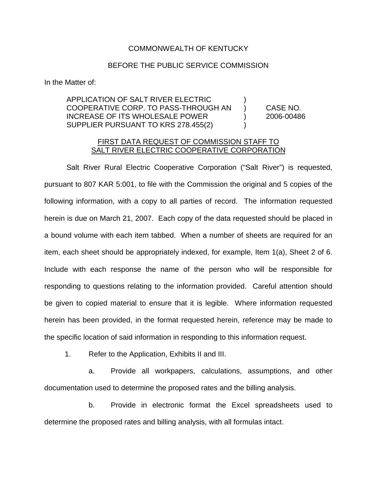## COMMONWEALTH OF KENTUCKY

## BEFORE THE PUBLIC SERVICE COMMISSION

In the Matter of:

## APPLICATION OF SALT RIVER ELECTRIC ) COOPERATIVE CORP. TO PASS-THROUGH AN ) CASE NO. INCREASE OF ITS WHOLESALE POWER ) 2006-00486 SUPPLIER PURSUANT TO KRS 278.455(2)

## FIRST DATA REQUEST OF COMMISSION STAFF TO SALT RIVER ELECTRIC COOPERATIVE CORPORATION

Salt River Rural Electric Cooperative Corporation ("Salt River") is requested, pursuant to 807 KAR 5:001, to file with the Commission the original and 5 copies of the following information, with a copy to all parties of record. The information requested herein is due on March 21, 2007. Each copy of the data requested should be placed in a bound volume with each item tabbed. When a number of sheets are required for an item, each sheet should be appropriately indexed, for example, Item 1(a), Sheet 2 of 6. Include with each response the name of the person who will be responsible for responding to questions relating to the information provided. Careful attention should be given to copied material to ensure that it is legible. Where information requested herein has been provided, in the format requested herein, reference may be made to the specific location of said information in responding to this information request.

1. Refer to the Application, Exhibits II and III.

a. Provide all workpapers, calculations, assumptions, and other documentation used to determine the proposed rates and the billing analysis.

b. Provide in electronic format the Excel spreadsheets used to determine the proposed rates and billing analysis, with all formulas intact.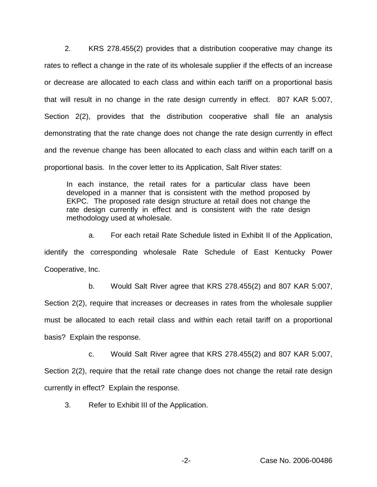2. KRS 278.455(2) provides that a distribution cooperative may change its rates to reflect a change in the rate of its wholesale supplier if the effects of an increase or decrease are allocated to each class and within each tariff on a proportional basis that will result in no change in the rate design currently in effect. 807 KAR 5:007, Section 2(2), provides that the distribution cooperative shall file an analysis demonstrating that the rate change does not change the rate design currently in effect and the revenue change has been allocated to each class and within each tariff on a proportional basis. In the cover letter to its Application, Salt River states:

In each instance, the retail rates for a particular class have been developed in a manner that is consistent with the method proposed by EKPC. The proposed rate design structure at retail does not change the rate design currently in effect and is consistent with the rate design methodology used at wholesale.

a. For each retail Rate Schedule listed in Exhibit II of the Application, identify the corresponding wholesale Rate Schedule of East Kentucky Power Cooperative, Inc.

b. Would Salt River agree that KRS 278.455(2) and 807 KAR 5:007,

Section 2(2), require that increases or decreases in rates from the wholesale supplier must be allocated to each retail class and within each retail tariff on a proportional basis? Explain the response.

c. Would Salt River agree that KRS 278.455(2) and 807 KAR 5:007,

Section 2(2), require that the retail rate change does not change the retail rate design currently in effect? Explain the response.

3. Refer to Exhibit III of the Application.